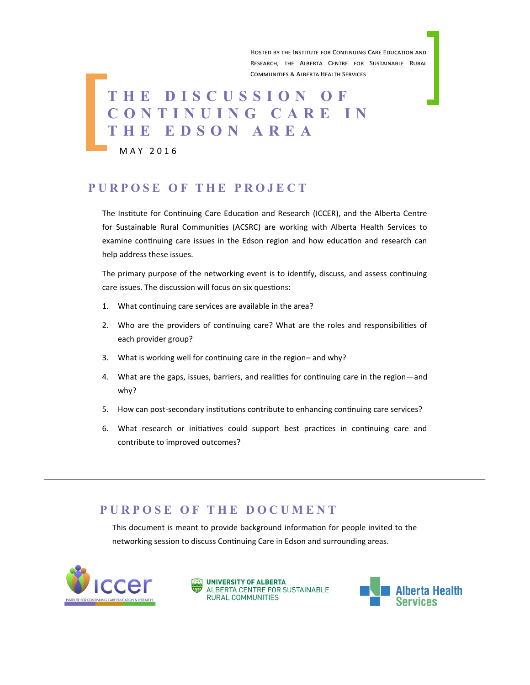Hosted by the Institute for Continuing Care Education and Research, the Alberta Centre for Sustainable Rural Communities & Alberta Health Services

# **T H E D I S C U S S I O N O F C O N T I N U I N G C A R E I N T H E E D S O N A R E A**

M A Y 2 0 1 6

#### **P U R P O S E O F T H E P R O J E C T**

The Institute for Continuing Care Education and Research (ICCER), and the Alberta Centre for Sustainable Rural Communities (ACSRC) are working with Alberta Health Services to examine continuing care issues in the Edson region and how education and research can help address these issues.

The primary purpose of the networking event is to identify, discuss, and assess continuing care issues. The discussion will focus on six questions:

- 1. What continuing care services are available in the area?
- 2. Who are the providers of continuing care? What are the roles and responsibilities of each provider group?
- 3. What is working well for continuing care in the region– and why?
- 4. What are the gaps, issues, barriers, and realities for continuing care in the region—and why?
- 5. How can post-secondary institutions contribute to enhancing continuing care services?
- 6. What research or initiatives could support best practices in continuing care and contribute to improved outcomes?

#### **P U R P O S E O F T H E D O C U M E N T**

This document is meant to provide background information for people invited to the networking session to discuss Continuing Care in Edson and surrounding areas.





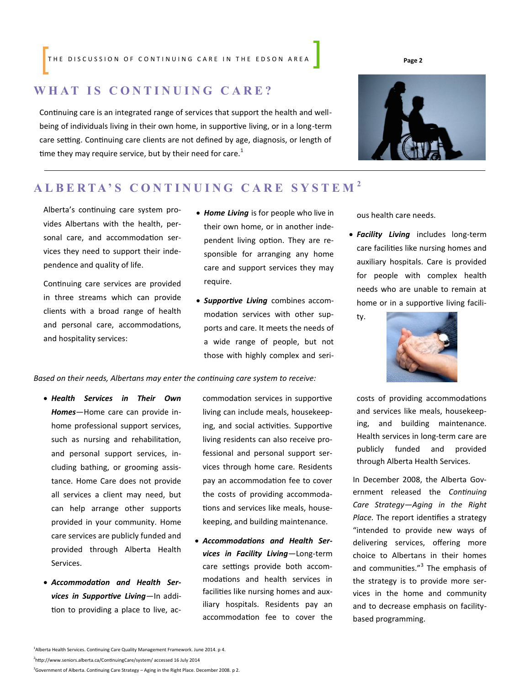THE DISCUSSION OF CONTINUING CARE IN THE EDSON AREA **Page 2** 

#### **W H A T I S C O N T I N U I N G C A R E ?**

Continuing care is an integrated range of services that support the health and wellbeing of individuals living in their own home, in supportive living, or in a long-term care setting. Continuing care clients are not defined by age, diagnosis, or length of time they may require service, but by their need for care.<sup>1</sup>

#### **A L B E R T A ' S C O N T I N U I N G C A R E S Y S T E M <sup>2</sup>**

Alberta's continuing care system provides Albertans with the health, personal care, and accommodation services they need to support their independence and quality of life.

Continuing care services are provided in three streams which can provide clients with a broad range of health and personal care, accommodations, and hospitality services:

- *Home Living* is for people who live in their own home, or in another independent living option. They are responsible for arranging any home care and support services they may require.
- *Supportive Living* combines accommodation services with other supports and care. It meets the needs of a wide range of people, but not those with highly complex and seri-

*Based on their needs, Albertans may enter the continuing care system to receive:* 

- *Health Services in Their Own Homes*—Home care can provide inhome professional support services, such as nursing and rehabilitation, and personal support services, including bathing, or grooming assistance. Home Care does not provide all services a client may need, but can help arrange other supports provided in your community. Home care services are publicly funded and provided through Alberta Health Services.
- *Accommodation and Health Services in Supportive Living*—In addition to providing a place to live, ac-

commodation services in supportive living can include meals, housekeeping, and social activities. Supportive living residents can also receive professional and personal support services through home care. Residents pay an accommodation fee to cover the costs of providing accommodations and services like meals, housekeeping, and building maintenance.

 *Accommodations and Health Services in Facility Living*—Long-term care settings provide both accommodations and health services in facilities like nursing homes and auxiliary hospitals. Residents pay an accommodation fee to cover the ous health care needs.

- *Facility Living* includes long-term care facilities like nursing homes and auxiliary hospitals. Care is provided for people with complex health needs who are unable to remain at home or in a supportive living facili
	- ty.



costs of providing accommodations and services like meals, housekeeping, and building maintenance. Health services in long-term care are publicly funded and provided through Alberta Health Services.

In December 2008, the Alberta Government released the *Continuing Care Strategy—Aging in the Right Place.* The report identifies a strategy "intended to provide new ways of delivering services, offering more choice to Albertans in their homes and communities."<sup>3</sup> The emphasis of the strategy is to provide more services in the home and community and to decrease emphasis on facilitybased programming.

2 http://www.seniors.alberta.ca/ContinuingCare/system/ accessed 16 July 2014

<sup>3</sup>Government of Alberta. Continuing Care Strategy – Aging in the Right Place. December 2008. p 2.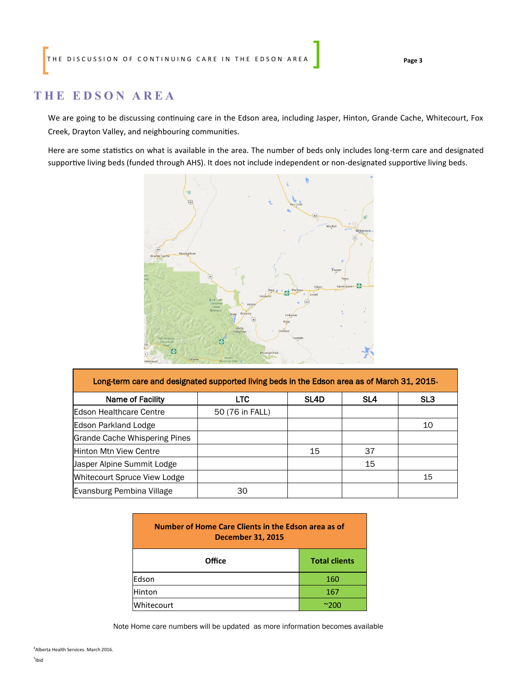#### **T H E E D S O N A R E A**

We are going to be discussing continuing care in the Edson area, including Jasper, Hinton, Grande Cache, Whitecourt, Fox Creek, Drayton Valley, and neighbouring communities.

Here are some statistics on what is available in the area. The number of beds only includes long-term care and designated supportive living beds (funded through AHS). It does not include independent or non-designated supportive living beds.



| Long-term care and designated supported living beds in the Edson area as of March 31, 2015. |                 |      |     |     |  |
|---------------------------------------------------------------------------------------------|-----------------|------|-----|-----|--|
| Name of Facility                                                                            | <b>LTC</b>      | SL4D | SL4 | SL3 |  |
| Edson Healthcare Centre                                                                     | 50 (76 in FALL) |      |     |     |  |
| Edson Parkland Lodge                                                                        |                 |      |     | 10  |  |
| Grande Cache Whispering Pines                                                               |                 |      |     |     |  |
| Hinton Mtn View Centre                                                                      |                 | 15   | 37  |     |  |
| Jasper Alpine Summit Lodge                                                                  |                 |      | 15  |     |  |
| Whitecourt Spruce View Lodge                                                                |                 |      |     | 15  |  |
| Evansburg Pembina Village                                                                   | 30              |      |     |     |  |

| Number of Home Care Clients in the Edson area as of<br><b>December 31, 2015</b> |                      |  |  |
|---------------------------------------------------------------------------------|----------------------|--|--|
| Office                                                                          | <b>Total clients</b> |  |  |
| Edson                                                                           | 160                  |  |  |
| Hinton                                                                          | 167                  |  |  |
| Whitecourt                                                                      | ~200                 |  |  |

Note Home care numbers will be updated as more information becomes available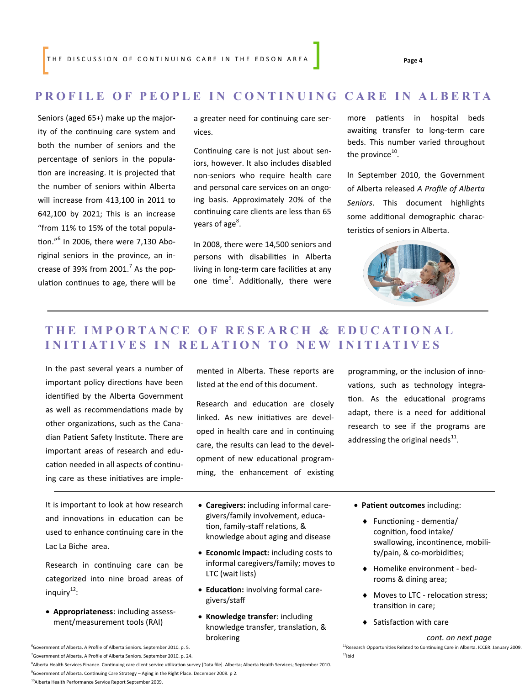#### **PROFILE OF PEOPLE IN CONTINUING CARE IN ALBERTA**

Seniors (aged 65+) make up the majority of the continuing care system and both the number of seniors and the percentage of seniors in the population are increasing. It is projected that the number of seniors within Alberta will increase from 413,100 in 2011 to 642,100 by 2021; This is an increase "from 11% to 15% of the total population."<sup>6</sup> In 2006, there were 7,130 Aboriginal seniors in the province, an increase of 39% from 2001. $^7$  As the population continues to age, there will be

a greater need for continuing care services.

Continuing care is not just about seniors, however. It also includes disabled non-seniors who require health care and personal care services on an ongoing basis. Approximately 20% of the continuing care clients are less than 65 years of age<sup>8</sup>.

In 2008, there were 14,500 seniors and persons with disabilities in Alberta living in long-term care facilities at any one time<sup>9</sup>. Additionally, there were more patients in hospital beds awaiting transfer to long-term care beds. This number varied throughout the province $^{10}$ .

In September 2010, the Government of Alberta released *A Profile of Alberta Seniors*. This document highlights some additional demographic characteristics of seniors in Alberta.



### **T H E I M P O R T A N C E O F R E S E A R C H & E D U C A T I O N A L INITIATIVES IN RELATION TO NEW INITIATIVES**

In the past several years a number of important policy directions have been identified by the Alberta Government as well as recommendations made by other organizations, such as the Canadian Patient Safety Institute. There are important areas of research and education needed in all aspects of continuing care as these initiatives are imple-

It is important to look at how research and innovations in education can be used to enhance continuing care in the Lac La Biche area.

Research in continuing care can be categorized into nine broad areas of inquiry<sup>12</sup>:

 **Appropriateness**: including assessment/measurement tools (RAI)

mented in Alberta. These reports are listed at the end of this document.

Research and education are closely linked. As new initiatives are developed in health care and in continuing care, the results can lead to the development of new educational programming, the enhancement of existing programming, or the inclusion of innovations, such as technology integration. As the educational programs adapt, there is a need for additional research to see if the programs are addressing the original needs $^{11}$ .

- **Caregivers:** including informal caregivers/family involvement, education, family-staff relations, & knowledge about aging and disease
- **Economic impact:** including costs to informal caregivers/family; moves to LTC (wait lists)
- **Education:** involving formal caregivers/staff
- **Knowledge transfer**: including knowledge transfer, translation, & brokering
- **Patient outcomes** including:
	- Functioning dementia/ cognition, food intake/ swallowing, incontinence, mobility/pain, & co-morbidities;
	- Homelike environment bedrooms & dining area;
	- $\blacklozenge$  Moves to LTC relocation stress; transition in care;
	- ◆ Satisfaction with care

<sup>6</sup>Government of Alberta. A Profile of Alberta Seniors. September 2010. p. 5. 11**Research Opportunities Related to Continuing Care in Alberta. ICCER. January 2009.**  $12$ Ibid

 $^7$ Government of Alberta. A Profile of Alberta Seniors. September 2010. p. 24.

8 Alberta Health Services Finance. Continuing care client service utilization survey [Data file]. Alberta; Alberta Health Services; September 2010. <sup>9</sup>Government of Alberta. Continuing Care Strategy – Aging in the Right Place. December 2008. p 2.

*cont. on next page*

<sup>10</sup>Alberta Health Performance Service Report September 2009.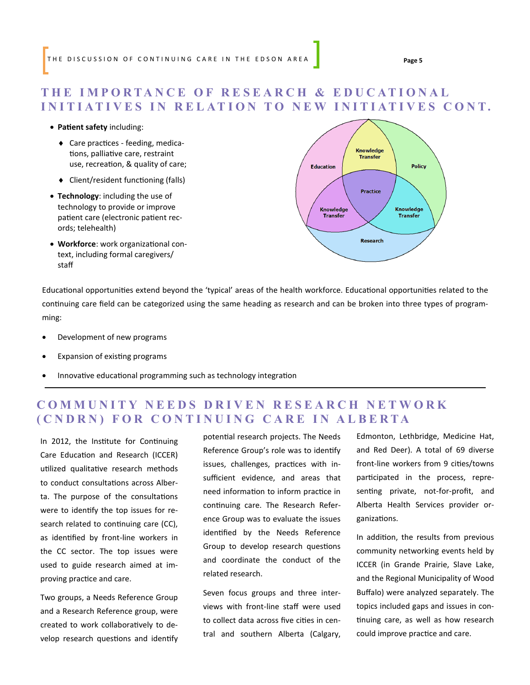#### **T H E I M P O R T A N C E O F R E S E A R C H & E D U C A T I O N A L INITIATIVES IN RELATION TO NEW INITIATIVES CONT.**

#### **Patient safety** including:

- Care practices feeding, medications, palliative care, restraint use, recreation, & quality of care;
- Client/resident functioning (falls)
- **Technology**: including the use of technology to provide or improve patient care (electronic patient records; telehealth)
- **Workforce**: work organizational context, including formal caregivers/ staff



Educational opportunities extend beyond the 'typical' areas of the health workforce. Educational opportunities related to the continuing care field can be categorized using the same heading as research and can be broken into three types of programming:

- Development of new programs
- Expansion of existing programs
- Innovative educational programming such as technology integration

#### **COMMUNITY NEEDS DRIVEN RESEARCH NETWORK ( C N D R N ) F O R C O N T I N U I N G C A R E I N A L B E R T A**

In 2012, the Institute for Continuing Care Education and Research (ICCER) utilized qualitative research methods to conduct consultations across Alberta. The purpose of the consultations were to identify the top issues for research related to continuing care (CC), as identified by front-line workers in the CC sector. The top issues were used to guide research aimed at improving practice and care.

Two groups, a Needs Reference Group and a Research Reference group, were created to work collaboratively to develop research questions and identify potential research projects. The Needs Reference Group's role was to identify issues, challenges, practices with insufficient evidence, and areas that need information to inform practice in continuing care. The Research Reference Group was to evaluate the issues identified by the Needs Reference Group to develop research questions and coordinate the conduct of the related research.

Seven focus groups and three interviews with front-line staff were used to collect data across five cities in central and southern Alberta (Calgary, Edmonton, Lethbridge, Medicine Hat, and Red Deer). A total of 69 diverse front-line workers from 9 cities/towns participated in the process, representing private, not-for-profit, and Alberta Health Services provider organizations.

In addition, the results from previous community networking events held by ICCER (in Grande Prairie, Slave Lake, and the Regional Municipality of Wood Buffalo) were analyzed separately. The topics included gaps and issues in continuing care, as well as how research could improve practice and care.